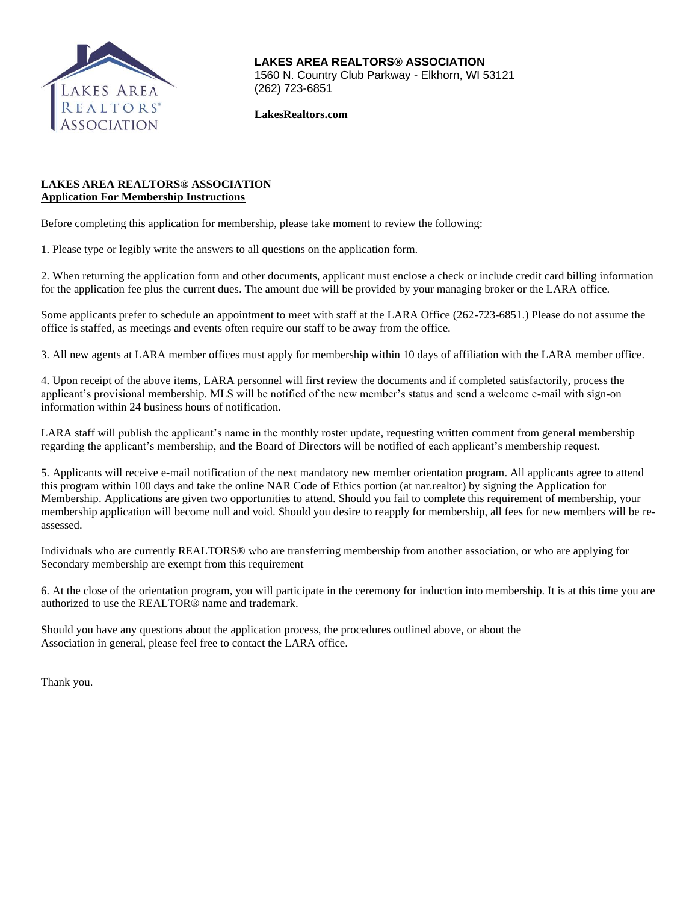

**LAKES AREA REALTORS® ASSOCIATION** 1560 N. Country Club Parkway - Elkhorn, WI 53121 (262) 723-6851

**LakesRealtors.com**

# **LAKES AREA REALTORS® ASSOCIATION Application For Membership Instructions**

Before completing this application for membership, please take moment to review the following:

1. Please type or legibly write the answers to all questions on the application form.

2. When returning the application form and other documents, applicant must enclose a check or include credit card billing information for the application fee plus the current dues. The amount due will be provided by your managing broker or the LARA office.

Some applicants prefer to schedule an appointment to meet with staff at the LARA Office (262-723-6851.) Please do not assume the office is staffed, as meetings and events often require our staff to be away from the office.

3. All new agents at LARA member offices must apply for membership within 10 days of affiliation with the LARA member office.

4. Upon receipt of the above items, LARA personnel will first review the documents and if completed satisfactorily, process the applicant's provisional membership. MLS will be notified of the new member's status and send a welcome e-mail with sign-on information within 24 business hours of notification.

LARA staff will publish the applicant's name in the monthly roster update, requesting written comment from general membership regarding the applicant's membership, and the Board of Directors will be notified of each applicant's membership request.

5. Applicants will receive e-mail notification of the next mandatory new member orientation program. All applicants agree to attend this program within 100 days and take the online NAR Code of Ethics portion (at nar.realtor) by signing the Application for Membership. Applications are given two opportunities to attend. Should you fail to complete this requirement of membership, your membership application will become null and void. Should you desire to reapply for membership, all fees for new members will be reassessed.

Individuals who are currently REALTORS® who are transferring membership from another association, or who are applying for Secondary membership are exempt from this requirement

6. At the close of the orientation program, you will participate in the ceremony for induction into membership. It is at this time you are authorized to use the REALTOR® name and trademark.

Should you have any questions about the application process, the procedures outlined above, or about the Association in general, please feel free to contact the LARA office.

Thank you.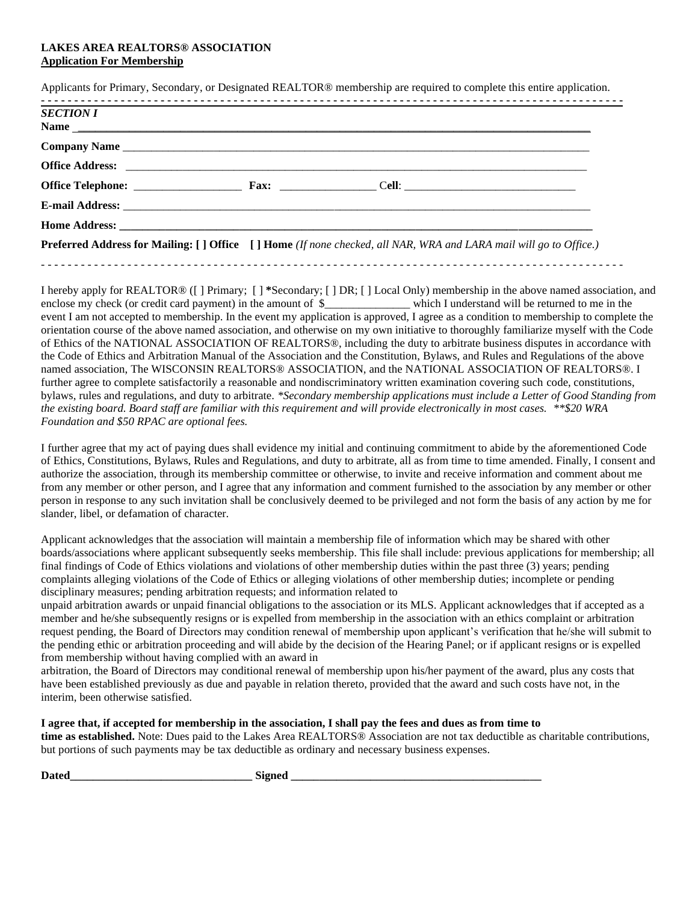## **LAKES AREA REALTORS® ASSOCIATION Application For Membership**

Applicants for Primary, Secondary, or Designated REALTOR® membership are required to complete this entire application.

| <b>SECTION I</b> |                                                                                                                                 |  |
|------------------|---------------------------------------------------------------------------------------------------------------------------------|--|
|                  |                                                                                                                                 |  |
|                  |                                                                                                                                 |  |
|                  |                                                                                                                                 |  |
|                  |                                                                                                                                 |  |
|                  |                                                                                                                                 |  |
|                  | <b>Preferred Address for Mailing: [] Office</b> [] <b>Home</b> (If none checked, all NAR, WRA and LARA mail will go to Office.) |  |

I hereby apply for REALTOR® ([ ] Primary; [ ] **\***Secondary; [ ] DR; [ ] Local Only) membership in the above named association, and enclose my check (or credit card payment) in the amount of \$\_\_\_\_\_\_\_\_\_\_\_\_\_\_\_\_\_ which I understand will be returned to me in the event I am not accepted to membership. In the event my application is approved, I agree as a condition to membership to complete the orientation course of the above named association, and otherwise on my own initiative to thoroughly familiarize myself with the Code of Ethics of the NATIONAL ASSOCIATION OF REALTORS®, including the duty to arbitrate business disputes in accordance with the Code of Ethics and Arbitration Manual of the Association and the Constitution, Bylaws, and Rules and Regulations of the above named association, The WISCONSIN REALTORS® ASSOCIATION, and the NATIONAL ASSOCIATION OF REALTORS®. I further agree to complete satisfactorily a reasonable and nondiscriminatory written examination covering such code, constitutions, bylaws, rules and regulations, and duty to arbitrate. *\*Secondary membership applications must include a Letter of Good Standing from the existing board. Board staff are familiar with this requirement and will provide electronically in most cases. \*\*\$20 WRA Foundation and \$50 RPAC are optional fees.*

- - - - - - - - - - - - - - - - - - - - - - - - - - - - - - - - - - - - - - - - - - - - - - - - - - - - - - - - - - - - - - - - - - - - - - - - - - - - - - - - - - - - - - - -

I further agree that my act of paying dues shall evidence my initial and continuing commitment to abide by the aforementioned Code of Ethics, Constitutions, Bylaws, Rules and Regulations, and duty to arbitrate, all as from time to time amended. Finally, I consent and authorize the association, through its membership committee or otherwise, to invite and receive information and comment about me from any member or other person, and I agree that any information and comment furnished to the association by any member or other person in response to any such invitation shall be conclusively deemed to be privileged and not form the basis of any action by me for slander, libel, or defamation of character.

Applicant acknowledges that the association will maintain a membership file of information which may be shared with other boards/associations where applicant subsequently seeks membership. This file shall include: previous applications for membership; all final findings of Code of Ethics violations and violations of other membership duties within the past three (3) years; pending complaints alleging violations of the Code of Ethics or alleging violations of other membership duties; incomplete or pending disciplinary measures; pending arbitration requests; and information related to

unpaid arbitration awards or unpaid financial obligations to the association or its MLS. Applicant acknowledges that if accepted as a member and he/she subsequently resigns or is expelled from membership in the association with an ethics complaint or arbitration request pending, the Board of Directors may condition renewal of membership upon applicant's verification that he/she will submit to the pending ethic or arbitration proceeding and will abide by the decision of the Hearing Panel; or if applicant resigns or is expelled from membership without having complied with an award in

arbitration, the Board of Directors may conditional renewal of membership upon his/her payment of the award, plus any costs that have been established previously as due and payable in relation thereto, provided that the award and such costs have not, in the interim, been otherwise satisfied.

## **I agree that, if accepted for membership in the association, I shall pay the fees and dues as from time to**

**time as established.** Note: Dues paid to the Lakes Area REALTORS® Association are not tax deductible as charitable contributions, but portions of such payments may be tax deductible as ordinary and necessary business expenses.

Dated **Example 2** Signed **Signed**